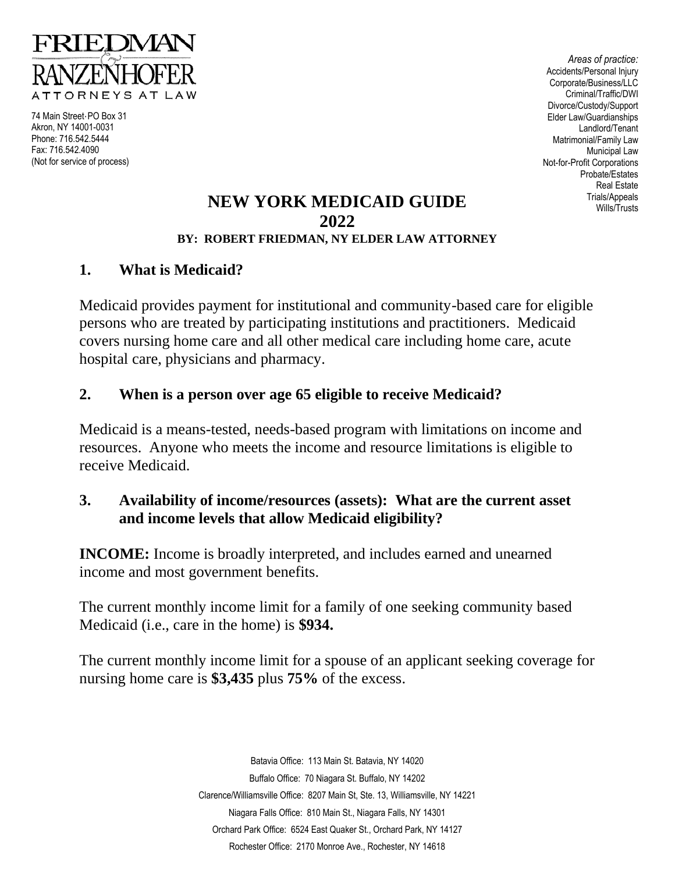

74 Main Street·PO Box 31 Akron, NY 14001-0031 Phone: 716.542.5444 Fax: 716.542.4090 (Not for service of process)

*Areas of practice:* Accidents/Personal Injury Corporate/Business/LLC Criminal/Traffic/DWI Divorce/Custody/Support Elder Law/Guardianships Landlord/Tenant Matrimonial/Family Law Municipal Law Not-for-Profit Corporations Probate/Estates Real Estate Trials/Appeals Wills/Trusts

#### **NEW YORK MEDICAID GUIDE 2022 BY: ROBERT FRIEDMAN, NY ELDER LAW ATTORNEY**

#### **1. What is Medicaid?**

Medicaid provides payment for institutional and community-based care for eligible persons who are treated by participating institutions and practitioners. Medicaid covers nursing home care and all other medical care including home care, acute hospital care, physicians and pharmacy.

#### **2. When is a person over age 65 eligible to receive Medicaid?**

Medicaid is a means-tested, needs-based program with limitations on income and resources. Anyone who meets the income and resource limitations is eligible to receive Medicaid.

#### **3. Availability of income/resources (assets): What are the current asset and income levels that allow Medicaid eligibility?**

**INCOME:** Income is broadly interpreted, and includes earned and unearned income and most government benefits.

The current monthly income limit for a family of one seeking community based Medicaid (i.e., care in the home) is **\$934.**

The current monthly income limit for a spouse of an applicant seeking coverage for nursing home care is **\$3,435** plus **75%** of the excess.

> Batavia Office: 113 Main St. Batavia, NY 14020 Buffalo Office: 70 Niagara St. Buffalo, NY 14202 Clarence/Williamsville Office: 8207 Main St, Ste. 13, Williamsville, NY 14221 Niagara Falls Office: 810 Main St., Niagara Falls, NY 14301 Orchard Park Office: 6524 East Quaker St., Orchard Park, NY 14127 Rochester Office: 2170 Monroe Ave., Rochester, NY 14618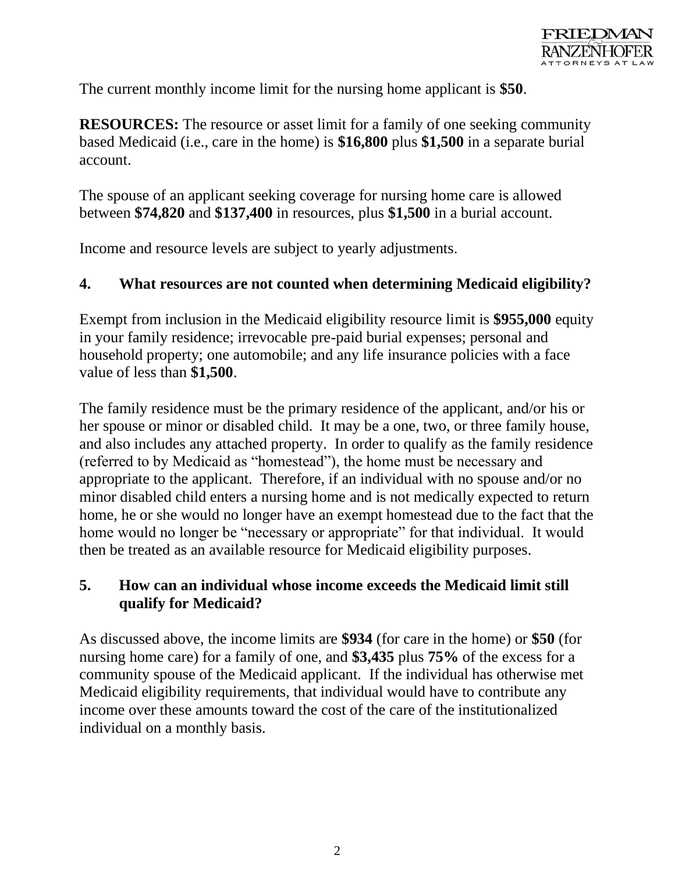The current monthly income limit for the nursing home applicant is **\$50**.

**RESOURCES:** The resource or asset limit for a family of one seeking community based Medicaid (i.e., care in the home) is **\$16,800** plus **\$1,500** in a separate burial account.

The spouse of an applicant seeking coverage for nursing home care is allowed between **\$74,820** and **\$137,400** in resources, plus **\$1,500** in a burial account.

Income and resource levels are subject to yearly adjustments.

## **4. What resources are not counted when determining Medicaid eligibility?**

Exempt from inclusion in the Medicaid eligibility resource limit is **\$955,000** equity in your family residence; irrevocable pre-paid burial expenses; personal and household property; one automobile; and any life insurance policies with a face value of less than **\$1,500**.

The family residence must be the primary residence of the applicant, and/or his or her spouse or minor or disabled child. It may be a one, two, or three family house, and also includes any attached property. In order to qualify as the family residence (referred to by Medicaid as "homestead"), the home must be necessary and appropriate to the applicant. Therefore, if an individual with no spouse and/or no minor disabled child enters a nursing home and is not medically expected to return home, he or she would no longer have an exempt homestead due to the fact that the home would no longer be "necessary or appropriate" for that individual. It would then be treated as an available resource for Medicaid eligibility purposes.

#### **5. How can an individual whose income exceeds the Medicaid limit still qualify for Medicaid?**

As discussed above, the income limits are **\$934** (for care in the home) or **\$50** (for nursing home care) for a family of one, and **\$3,435** plus **75%** of the excess for a community spouse of the Medicaid applicant. If the individual has otherwise met Medicaid eligibility requirements, that individual would have to contribute any income over these amounts toward the cost of the care of the institutionalized individual on a monthly basis.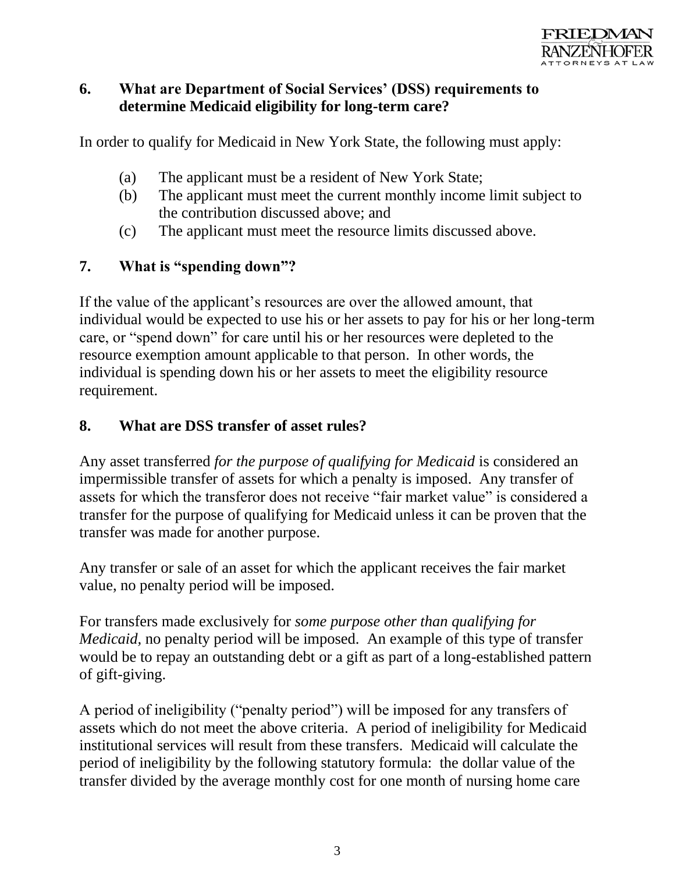

#### **6. What are Department of Social Services' (DSS) requirements to determine Medicaid eligibility for long-term care?**

In order to qualify for Medicaid in New York State, the following must apply:

- (a) The applicant must be a resident of New York State;
- (b) The applicant must meet the current monthly income limit subject to the contribution discussed above; and
- (c) The applicant must meet the resource limits discussed above.

#### **7. What is "spending down"?**

If the value of the applicant's resources are over the allowed amount, that individual would be expected to use his or her assets to pay for his or her long-term care, or "spend down" for care until his or her resources were depleted to the resource exemption amount applicable to that person. In other words, the individual is spending down his or her assets to meet the eligibility resource requirement.

#### **8. What are DSS transfer of asset rules?**

Any asset transferred *for the purpose of qualifying for Medicaid* is considered an impermissible transfer of assets for which a penalty is imposed. Any transfer of assets for which the transferor does not receive "fair market value" is considered a transfer for the purpose of qualifying for Medicaid unless it can be proven that the transfer was made for another purpose.

Any transfer or sale of an asset for which the applicant receives the fair market value, no penalty period will be imposed.

For transfers made exclusively for *some purpose other than qualifying for Medicaid*, no penalty period will be imposed. An example of this type of transfer would be to repay an outstanding debt or a gift as part of a long-established pattern of gift-giving.

A period of ineligibility ("penalty period") will be imposed for any transfers of assets which do not meet the above criteria. A period of ineligibility for Medicaid institutional services will result from these transfers. Medicaid will calculate the period of ineligibility by the following statutory formula: the dollar value of the transfer divided by the average monthly cost for one month of nursing home care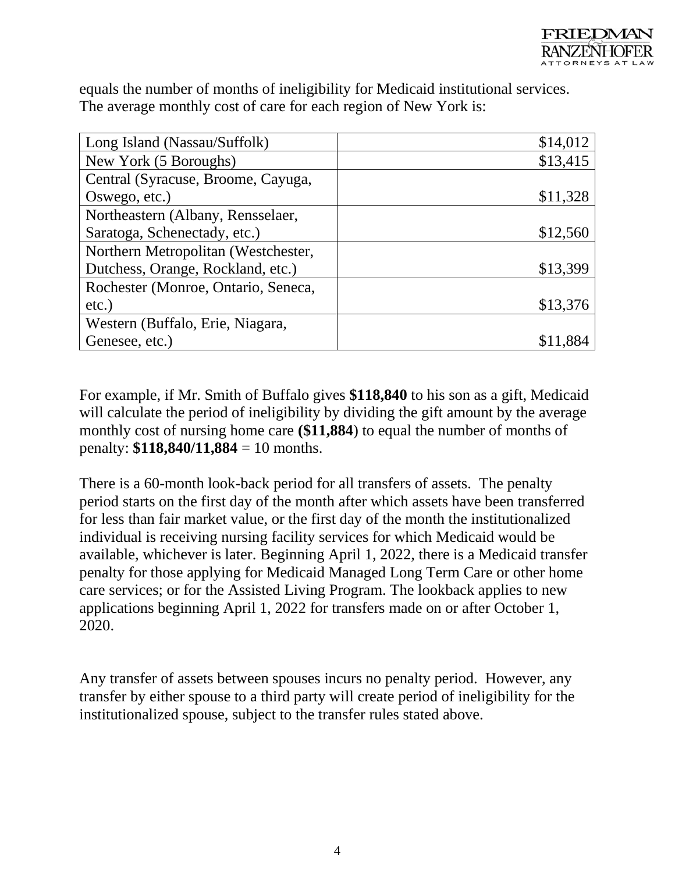equals the number of months of ineligibility for Medicaid institutional services. The average monthly cost of care for each region of New York is:

| Long Island (Nassau/Suffolk)        | \$14,012 |
|-------------------------------------|----------|
| New York (5 Boroughs)               | \$13,415 |
| Central (Syracuse, Broome, Cayuga,  |          |
| Oswego, etc.)                       | \$11,328 |
| Northeastern (Albany, Rensselaer,   |          |
| Saratoga, Schenectady, etc.)        | \$12,560 |
| Northern Metropolitan (Westchester, |          |
| Dutchess, Orange, Rockland, etc.)   | \$13,399 |
| Rochester (Monroe, Ontario, Seneca, |          |
| $etc.$ )                            | \$13,376 |
| Western (Buffalo, Erie, Niagara,    |          |
| Genesee, etc.)                      |          |

For example, if Mr. Smith of Buffalo gives **\$118,840** to his son as a gift, Medicaid will calculate the period of ineligibility by dividing the gift amount by the average monthly cost of nursing home care **(\$11,884**) to equal the number of months of penalty: **\$118,840/11,884** = 10 months.

There is a 60-month look-back period for all transfers of assets. The penalty period starts on the first day of the month after which assets have been transferred for less than fair market value, or the first day of the month the institutionalized individual is receiving nursing facility services for which Medicaid would be available, whichever is later. Beginning April 1, 2022, there is a Medicaid transfer penalty for those applying for Medicaid Managed Long Term Care or other home care services; or for the Assisted Living Program. The lookback applies to new applications beginning April 1, 2022 for transfers made on or after October 1, 2020.

Any transfer of assets between spouses incurs no penalty period. However, any transfer by either spouse to a third party will create period of ineligibility for the institutionalized spouse, subject to the transfer rules stated above.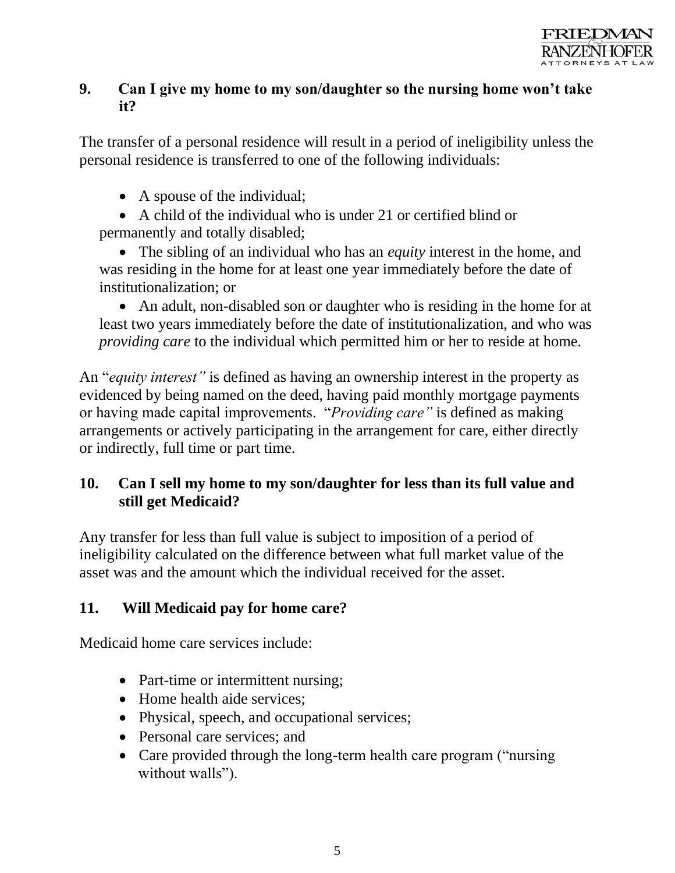## **9. Can I give my home to my son/daughter so the nursing home won't take it?**

The transfer of a personal residence will result in a period of ineligibility unless the personal residence is transferred to one of the following individuals:

- A spouse of the individual;
- A child of the individual who is under 21 or certified blind or

permanently and totally disabled;

• The sibling of an individual who has an *equity* interest in the home, and was residing in the home for at least one year immediately before the date of institutionalization; or

• An adult, non-disabled son or daughter who is residing in the home for at least two years immediately before the date of institutionalization, and who was *providing care* to the individual which permitted him or her to reside at home.

An "*equity interest"* is defined as having an ownership interest in the property as evidenced by being named on the deed, having paid monthly mortgage payments or having made capital improvements. "*Providing care"* is defined as making arrangements or actively participating in the arrangement for care, either directly or indirectly, full time or part time.

## **10. Can I sell my home to my son/daughter for less than its full value and still get Medicaid?**

Any transfer for less than full value is subject to imposition of a period of ineligibility calculated on the difference between what full market value of the asset was and the amount which the individual received for the asset.

## **11. Will Medicaid pay for home care?**

Medicaid home care services include:

- Part-time or intermittent nursing;
- Home health aide services:
- Physical, speech, and occupational services;
- Personal care services; and
- Care provided through the long-term health care program ("nursing") without walls").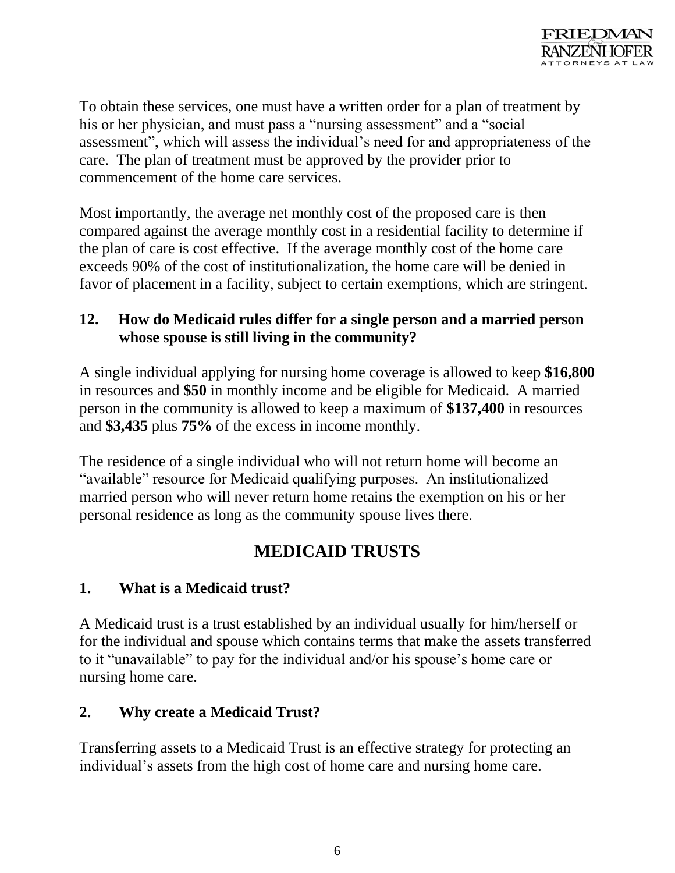

To obtain these services, one must have a written order for a plan of treatment by his or her physician, and must pass a "nursing assessment" and a "social assessment", which will assess the individual's need for and appropriateness of the care. The plan of treatment must be approved by the provider prior to commencement of the home care services.

Most importantly, the average net monthly cost of the proposed care is then compared against the average monthly cost in a residential facility to determine if the plan of care is cost effective. If the average monthly cost of the home care exceeds 90% of the cost of institutionalization, the home care will be denied in favor of placement in a facility, subject to certain exemptions, which are stringent.

#### **12. How do Medicaid rules differ for a single person and a married person whose spouse is still living in the community?**

A single individual applying for nursing home coverage is allowed to keep **\$16,800** in resources and **\$50** in monthly income and be eligible for Medicaid. A married person in the community is allowed to keep a maximum of **\$137,400** in resources and **\$3,435** plus **75%** of the excess in income monthly.

The residence of a single individual who will not return home will become an "available" resource for Medicaid qualifying purposes. An institutionalized married person who will never return home retains the exemption on his or her personal residence as long as the community spouse lives there.

# **MEDICAID TRUSTS**

## **1. What is a Medicaid trust?**

A Medicaid trust is a trust established by an individual usually for him/herself or for the individual and spouse which contains terms that make the assets transferred to it "unavailable" to pay for the individual and/or his spouse's home care or nursing home care.

## **2. Why create a Medicaid Trust?**

Transferring assets to a Medicaid Trust is an effective strategy for protecting an individual's assets from the high cost of home care and nursing home care.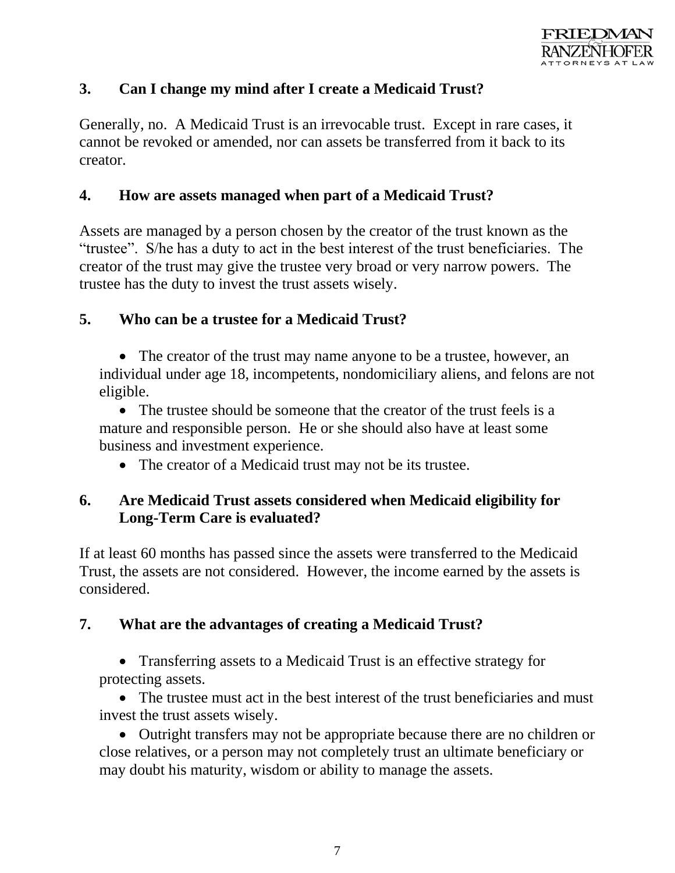

#### **3. Can I change my mind after I create a Medicaid Trust?**

Generally, no. A Medicaid Trust is an irrevocable trust. Except in rare cases, it cannot be revoked or amended, nor can assets be transferred from it back to its creator.

#### **4. How are assets managed when part of a Medicaid Trust?**

Assets are managed by a person chosen by the creator of the trust known as the "trustee". S/he has a duty to act in the best interest of the trust beneficiaries. The creator of the trust may give the trustee very broad or very narrow powers. The trustee has the duty to invest the trust assets wisely.

#### **5. Who can be a trustee for a Medicaid Trust?**

• The creator of the trust may name anyone to be a trustee, however, an individual under age 18, incompetents, nondomiciliary aliens, and felons are not eligible.

• The trustee should be someone that the creator of the trust feels is a mature and responsible person. He or she should also have at least some business and investment experience.

• The creator of a Medicaid trust may not be its trustee.

#### **6. Are Medicaid Trust assets considered when Medicaid eligibility for Long-Term Care is evaluated?**

If at least 60 months has passed since the assets were transferred to the Medicaid Trust, the assets are not considered. However, the income earned by the assets is considered.

#### **7. What are the advantages of creating a Medicaid Trust?**

• Transferring assets to a Medicaid Trust is an effective strategy for protecting assets.

• The trustee must act in the best interest of the trust beneficiaries and must invest the trust assets wisely.

• Outright transfers may not be appropriate because there are no children or close relatives, or a person may not completely trust an ultimate beneficiary or may doubt his maturity, wisdom or ability to manage the assets.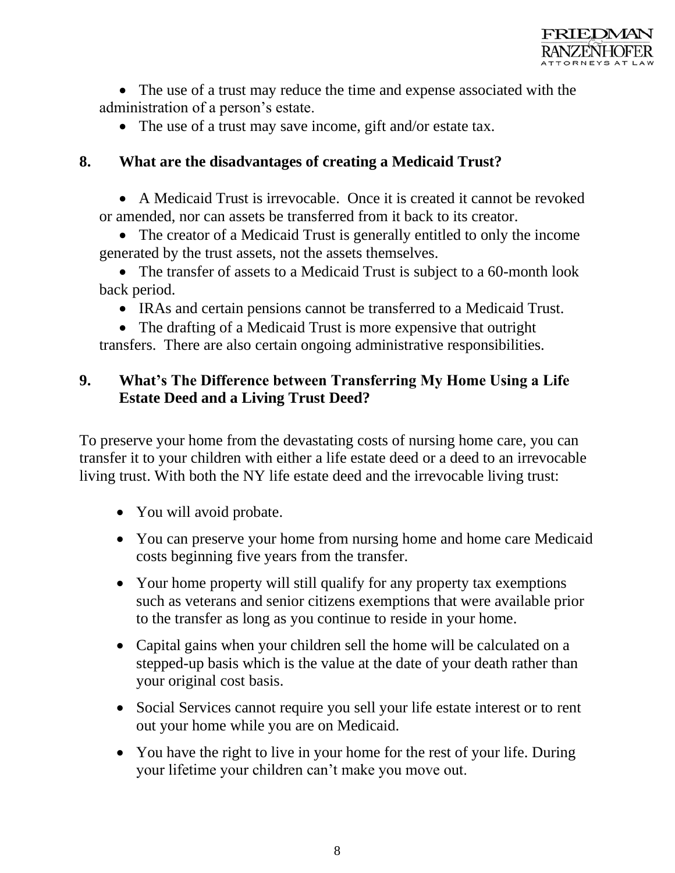

• The use of a trust may reduce the time and expense associated with the administration of a person's estate.

• The use of a trust may save income, gift and/or estate tax.

#### **8. What are the disadvantages of creating a Medicaid Trust?**

• A Medicaid Trust is irrevocable. Once it is created it cannot be revoked or amended, nor can assets be transferred from it back to its creator.

• The creator of a Medicaid Trust is generally entitled to only the income generated by the trust assets, not the assets themselves.

• The transfer of assets to a Medicaid Trust is subject to a 60-month look back period.

• IRAs and certain pensions cannot be transferred to a Medicaid Trust.

• The drafting of a Medicaid Trust is more expensive that outright transfers. There are also certain ongoing administrative responsibilities.

### **9. What's The Difference between Transferring My Home Using a Life Estate Deed and a Living Trust Deed?**

To preserve your home from the devastating costs of nursing home care, you can transfer it to your children with either a [life estate deed](https://www.wny-lawyers.com/new-york-life-estates-attorneys/) or a deed to an [irrevocable](https://www.wny-lawyers.com/buffalo-living-trust-attorneys/)  [living trust.](https://www.wny-lawyers.com/buffalo-living-trust-attorneys/) With both the NY life estate deed and the irrevocable living trust:

- You will [avoid probate.](https://www.wny-lawyers.com/2020/04/15-ways-to-avoid-ny-probate-during-the-covid-19-crisis/)
- You can preserve your home from nursing home and home care Medicaid [costs](https://www.wny-lawyers.com/buffalo-medicaid-lawyers/) beginning five years from the transfer.
- Your home property will still qualify for any property tax exemptions such as veterans and senior citizens exemptions that were available prior to the transfer as long as you continue to reside in your home.
- Capital gains when your children sell the home will be calculated on a stepped-up basis which is the value at the date of your death rather than your original cost basis.
- Social Services cannot require you sell your life estate interest or to [rent](https://www.wny-lawyers.com/buffalo-landlord-lawyers/documents-every-landlord-should-have/) [out your home](https://www.wny-lawyers.com/buffalo-landlord-lawyers/documents-every-landlord-should-have/) while you are on Medicaid.
- You have the right to live in your home for the rest of your life. During your lifetime your children can't make you move out.